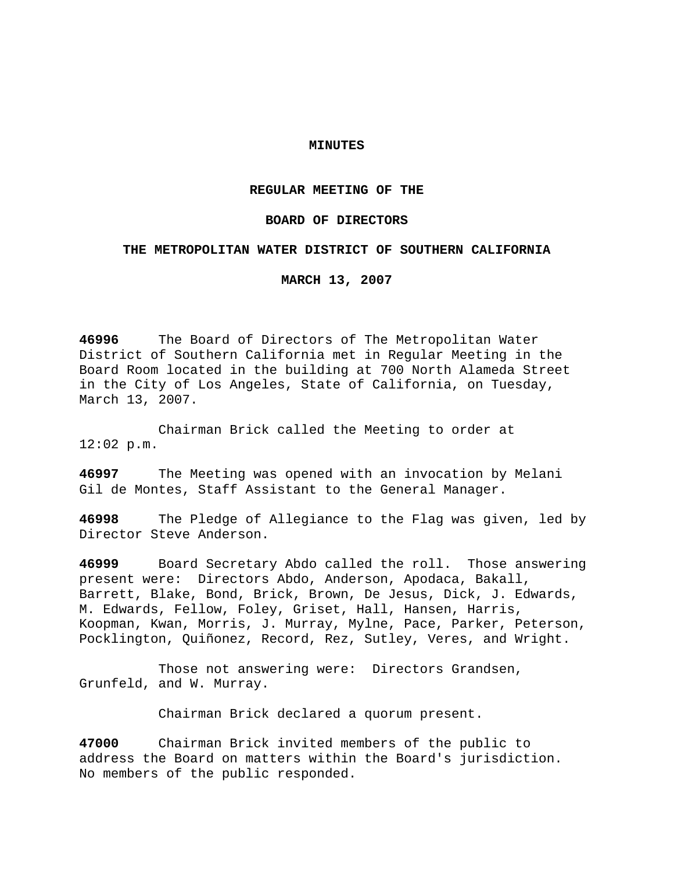# **MINUTES**

# **REGULAR MEETING OF THE**

# **BOARD OF DIRECTORS**

## **THE METROPOLITAN WATER DISTRICT OF SOUTHERN CALIFORNIA**

**MARCH 13, 2007** 

**46996** The Board of Directors of The Metropolitan Water District of Southern California met in Regular Meeting in the Board Room located in the building at 700 North Alameda Street in the City of Los Angeles, State of California, on Tuesday, March 13, 2007.

 Chairman Brick called the Meeting to order at 12:02 p.m.

**46997** The Meeting was opened with an invocation by Melani Gil de Montes, Staff Assistant to the General Manager.

**46998** The Pledge of Allegiance to the Flag was given, led by Director Steve Anderson.

**46999** Board Secretary Abdo called the roll. Those answering present were: Directors Abdo, Anderson, Apodaca, Bakall, Barrett, Blake, Bond, Brick, Brown, De Jesus, Dick, J. Edwards, M. Edwards, Fellow, Foley, Griset, Hall, Hansen, Harris, Koopman, Kwan, Morris, J. Murray, Mylne, Pace, Parker, Peterson, Pocklington, Quiñonez, Record, Rez, Sutley, Veres, and Wright.

 Those not answering were: Directors Grandsen, Grunfeld, and W. Murray.

Chairman Brick declared a quorum present.

**47000** Chairman Brick invited members of the public to address the Board on matters within the Board's jurisdiction. No members of the public responded.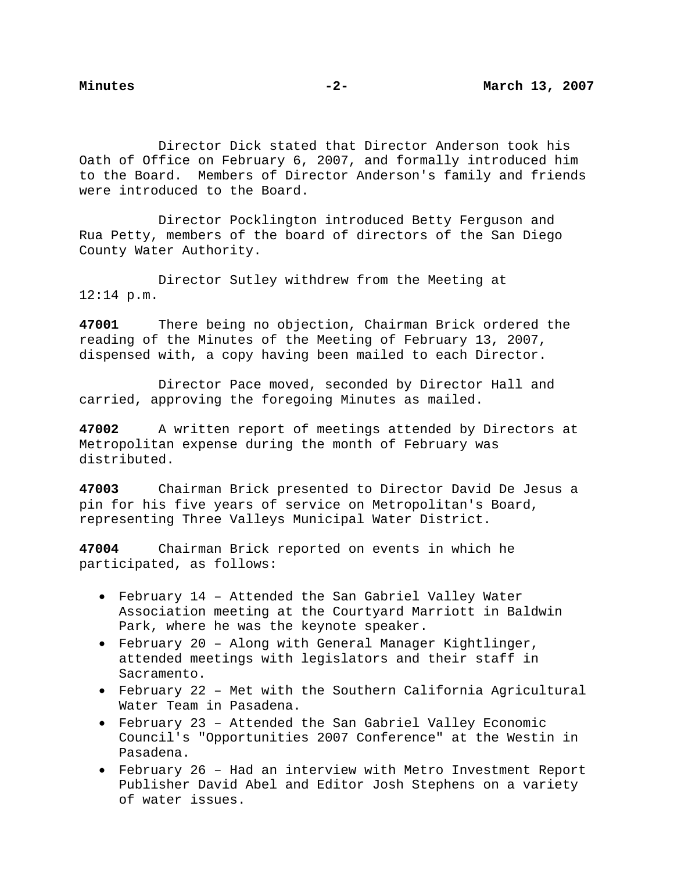Director Dick stated that Director Anderson took his Oath of Office on February 6, 2007, and formally introduced him to the Board. Members of Director Anderson's family and friends were introduced to the Board.

 Director Pocklington introduced Betty Ferguson and Rua Petty, members of the board of directors of the San Diego County Water Authority.

 Director Sutley withdrew from the Meeting at 12:14 p.m.

**47001** There being no objection, Chairman Brick ordered the reading of the Minutes of the Meeting of February 13, 2007, dispensed with, a copy having been mailed to each Director.

 Director Pace moved, seconded by Director Hall and carried, approving the foregoing Minutes as mailed.

**47002** A written report of meetings attended by Directors at Metropolitan expense during the month of February was distributed.

**47003** Chairman Brick presented to Director David De Jesus a pin for his five years of service on Metropolitan's Board, representing Three Valleys Municipal Water District.

**47004** Chairman Brick reported on events in which he participated, as follows:

- February 14 Attended the San Gabriel Valley Water Association meeting at the Courtyard Marriott in Baldwin Park, where he was the keynote speaker.
- February 20 Along with General Manager Kightlinger, attended meetings with legislators and their staff in Sacramento.
- February 22 Met with the Southern California Agricultural Water Team in Pasadena.
- February 23 Attended the San Gabriel Valley Economic Council's "Opportunities 2007 Conference" at the Westin in Pasadena.
- February 26 Had an interview with Metro Investment Report Publisher David Abel and Editor Josh Stephens on a variety of water issues.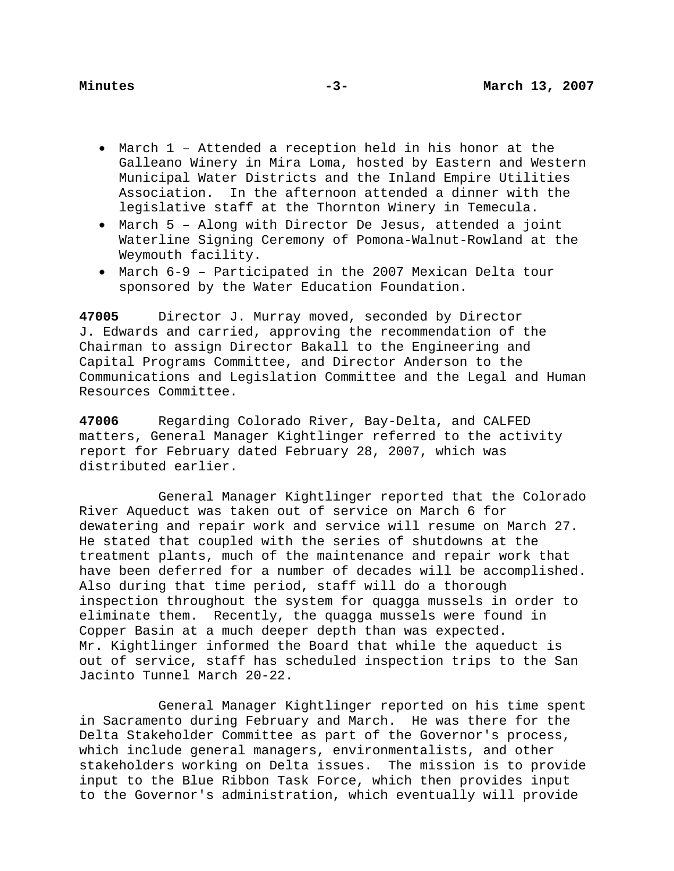- March 1 Attended a reception held in his honor at the Galleano Winery in Mira Loma, hosted by Eastern and Western Municipal Water Districts and the Inland Empire Utilities Association. In the afternoon attended a dinner with the legislative staff at the Thornton Winery in Temecula.
- March 5 Along with Director De Jesus, attended a joint Waterline Signing Ceremony of Pomona-Walnut-Rowland at the Weymouth facility.
- March 6-9 Participated in the 2007 Mexican Delta tour sponsored by the Water Education Foundation.

**47005** Director J. Murray moved, seconded by Director J. Edwards and carried, approving the recommendation of the Chairman to assign Director Bakall to the Engineering and Capital Programs Committee, and Director Anderson to the Communications and Legislation Committee and the Legal and Human Resources Committee.

**47006** Regarding Colorado River, Bay-Delta, and CALFED matters, General Manager Kightlinger referred to the activity report for February dated February 28, 2007, which was distributed earlier.

General Manager Kightlinger reported that the Colorado River Aqueduct was taken out of service on March 6 for dewatering and repair work and service will resume on March 27. He stated that coupled with the series of shutdowns at the treatment plants, much of the maintenance and repair work that have been deferred for a number of decades will be accomplished. Also during that time period, staff will do a thorough inspection throughout the system for quagga mussels in order to eliminate them. Recently, the quagga mussels were found in Copper Basin at a much deeper depth than was expected. Mr. Kightlinger informed the Board that while the aqueduct is out of service, staff has scheduled inspection trips to the San Jacinto Tunnel March 20-22.

 General Manager Kightlinger reported on his time spent in Sacramento during February and March. He was there for the Delta Stakeholder Committee as part of the Governor's process, which include general managers, environmentalists, and other stakeholders working on Delta issues. The mission is to provide input to the Blue Ribbon Task Force, which then provides input to the Governor's administration, which eventually will provide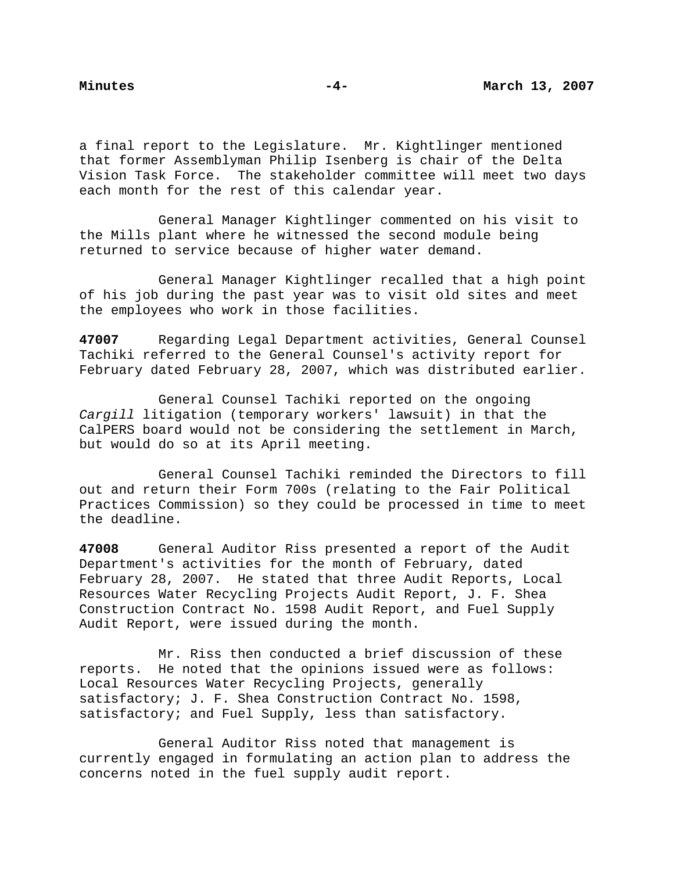a final report to the Legislature. Mr. Kightlinger mentioned that former Assemblyman Philip Isenberg is chair of the Delta Vision Task Force. The stakeholder committee will meet two days each month for the rest of this calendar year.

 General Manager Kightlinger commented on his visit to the Mills plant where he witnessed the second module being returned to service because of higher water demand.

General Manager Kightlinger recalled that a high point of his job during the past year was to visit old sites and meet the employees who work in those facilities.

**47007** Regarding Legal Department activities, General Counsel Tachiki referred to the General Counsel's activity report for February dated February 28, 2007, which was distributed earlier.

General Counsel Tachiki reported on the ongoing *Cargill* litigation (temporary workers' lawsuit) in that the CalPERS board would not be considering the settlement in March, but would do so at its April meeting.

 General Counsel Tachiki reminded the Directors to fill out and return their Form 700s (relating to the Fair Political Practices Commission) so they could be processed in time to meet the deadline.

**47008** General Auditor Riss presented a report of the Audit Department's activities for the month of February, dated February 28, 2007. He stated that three Audit Reports, Local Resources Water Recycling Projects Audit Report, J. F. Shea Construction Contract No. 1598 Audit Report, and Fuel Supply Audit Report, were issued during the month.

Mr. Riss then conducted a brief discussion of these reports. He noted that the opinions issued were as follows: Local Resources Water Recycling Projects, generally satisfactory; J. F. Shea Construction Contract No. 1598, satisfactory; and Fuel Supply, less than satisfactory.

 General Auditor Riss noted that management is currently engaged in formulating an action plan to address the concerns noted in the fuel supply audit report.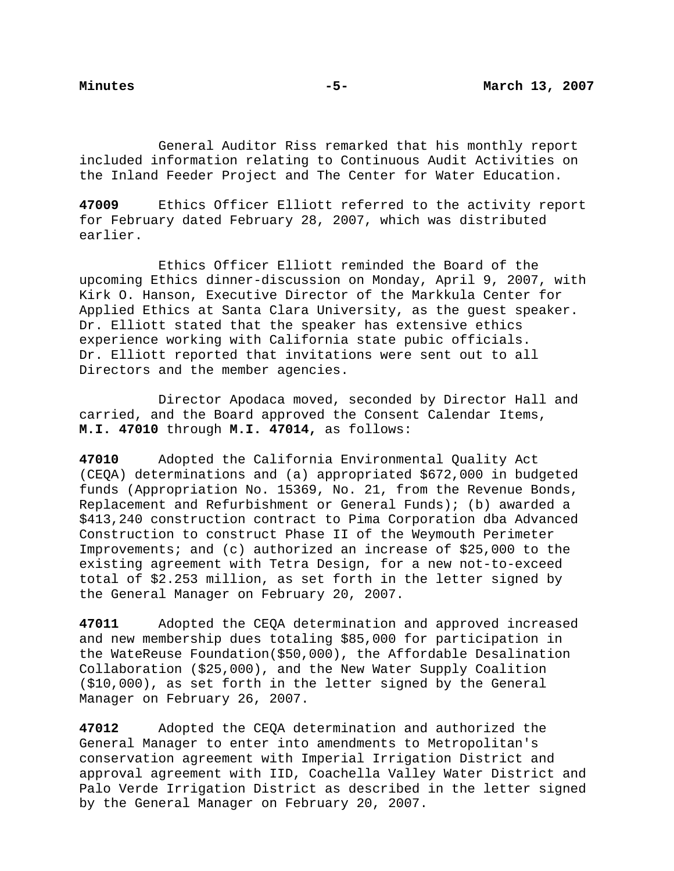General Auditor Riss remarked that his monthly report included information relating to Continuous Audit Activities on the Inland Feeder Project and The Center for Water Education.

**47009** Ethics Officer Elliott referred to the activity report for February dated February 28, 2007, which was distributed earlier.

 Ethics Officer Elliott reminded the Board of the upcoming Ethics dinner-discussion on Monday, April 9, 2007, with Kirk O. Hanson, Executive Director of the Markkula Center for Applied Ethics at Santa Clara University, as the guest speaker. Dr. Elliott stated that the speaker has extensive ethics experience working with California state pubic officials. Dr. Elliott reported that invitations were sent out to all Directors and the member agencies.

 Director Apodaca moved, seconded by Director Hall and carried, and the Board approved the Consent Calendar Items, **M.I. 47010** through **M.I. 47014,** as follows:

**47010** Adopted the California Environmental Quality Act (CEQA) determinations and (a) appropriated \$672,000 in budgeted funds (Appropriation No. 15369, No. 21, from the Revenue Bonds, Replacement and Refurbishment or General Funds); (b) awarded a \$413,240 construction contract to Pima Corporation dba Advanced Construction to construct Phase II of the Weymouth Perimeter Improvements; and (c) authorized an increase of \$25,000 to the existing agreement with Tetra Design, for a new not-to-exceed total of \$2.253 million, as set forth in the letter signed by the General Manager on February 20, 2007.

**47011** Adopted the CEQA determination and approved increased and new membership dues totaling \$85,000 for participation in the WateReuse Foundation(\$50,000), the Affordable Desalination Collaboration (\$25,000), and the New Water Supply Coalition (\$10,000), as set forth in the letter signed by the General Manager on February 26, 2007.

**47012** Adopted the CEQA determination and authorized the General Manager to enter into amendments to Metropolitan's conservation agreement with Imperial Irrigation District and approval agreement with IID, Coachella Valley Water District and Palo Verde Irrigation District as described in the letter signed by the General Manager on February 20, 2007.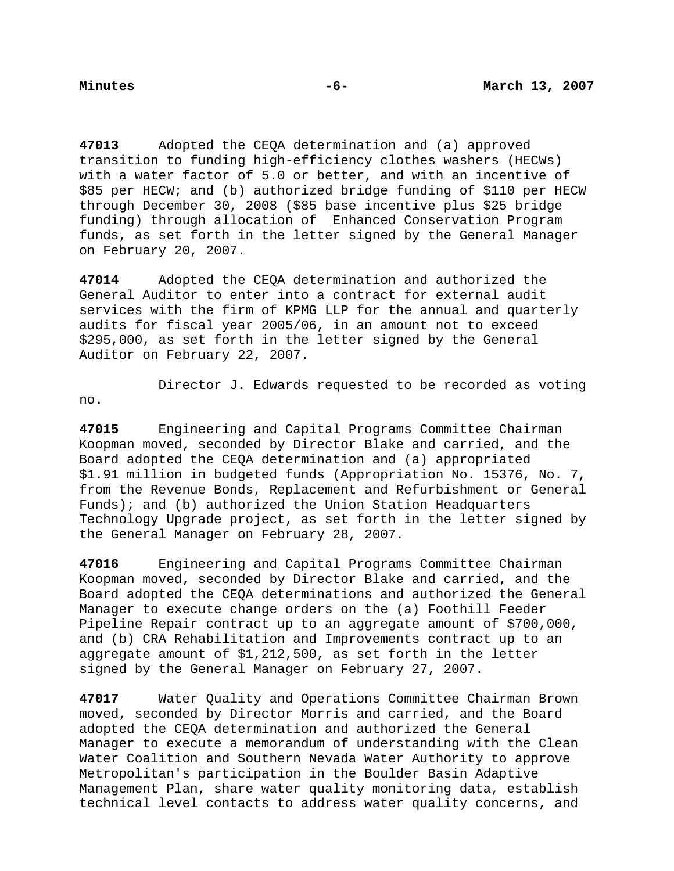**47013** Adopted the CEQA determination and (a) approved transition to funding high-efficiency clothes washers (HECWs) with a water factor of 5.0 or better, and with an incentive of \$85 per HECW; and (b) authorized bridge funding of \$110 per HECW through December 30, 2008 (\$85 base incentive plus \$25 bridge funding) through allocation of Enhanced Conservation Program funds, as set forth in the letter signed by the General Manager on February 20, 2007.

**47014** Adopted the CEQA determination and authorized the General Auditor to enter into a contract for external audit services with the firm of KPMG LLP for the annual and quarterly audits for fiscal year 2005/06, in an amount not to exceed \$295,000, as set forth in the letter signed by the General Auditor on February 22, 2007.

 Director J. Edwards requested to be recorded as voting no.

**47015** Engineering and Capital Programs Committee Chairman Koopman moved, seconded by Director Blake and carried, and the Board adopted the CEQA determination and (a) appropriated \$1.91 million in budgeted funds (Appropriation No. 15376, No. 7, from the Revenue Bonds, Replacement and Refurbishment or General Funds); and (b) authorized the Union Station Headquarters Technology Upgrade project, as set forth in the letter signed by the General Manager on February 28, 2007.

**47016** Engineering and Capital Programs Committee Chairman Koopman moved, seconded by Director Blake and carried, and the Board adopted the CEQA determinations and authorized the General Manager to execute change orders on the (a) Foothill Feeder Pipeline Repair contract up to an aggregate amount of \$700,000, and (b) CRA Rehabilitation and Improvements contract up to an aggregate amount of \$1,212,500, as set forth in the letter signed by the General Manager on February 27, 2007.

**47017** Water Quality and Operations Committee Chairman Brown moved, seconded by Director Morris and carried, and the Board adopted the CEQA determination and authorized the General Manager to execute a memorandum of understanding with the Clean Water Coalition and Southern Nevada Water Authority to approve Metropolitan's participation in the Boulder Basin Adaptive Management Plan, share water quality monitoring data, establish technical level contacts to address water quality concerns, and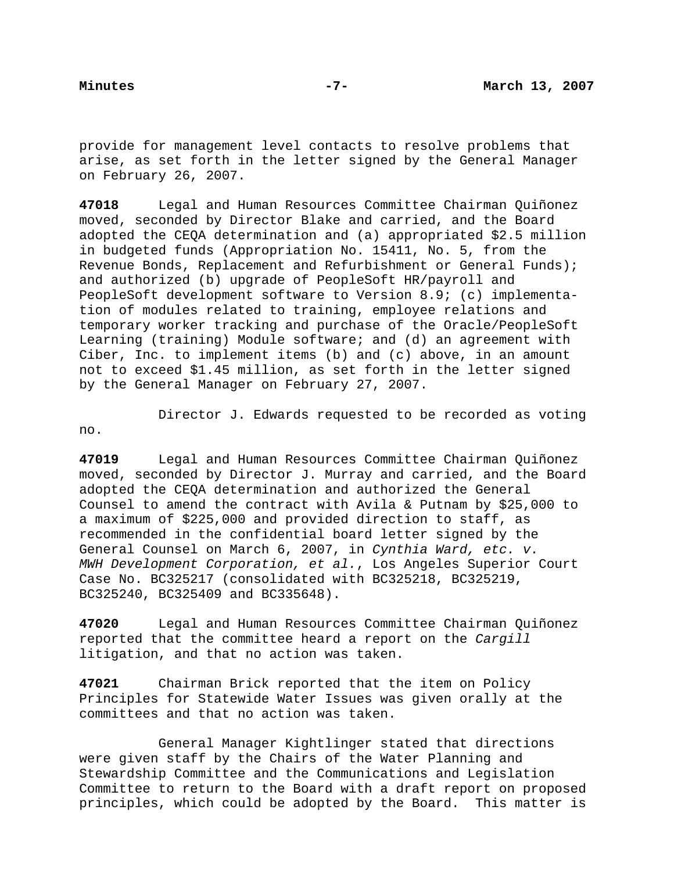provide for management level contacts to resolve problems that arise, as set forth in the letter signed by the General Manager on February 26, 2007.

**47018** Legal and Human Resources Committee Chairman Quiñonez moved, seconded by Director Blake and carried, and the Board adopted the CEQA determination and (a) appropriated \$2.5 million in budgeted funds (Appropriation No. 15411, No. 5, from the Revenue Bonds, Replacement and Refurbishment or General Funds); and authorized (b) upgrade of PeopleSoft HR/payroll and PeopleSoft development software to Version 8.9; (c) implementation of modules related to training, employee relations and temporary worker tracking and purchase of the Oracle/PeopleSoft Learning (training) Module software; and (d) an agreement with Ciber, Inc. to implement items (b) and (c) above, in an amount not to exceed \$1.45 million, as set forth in the letter signed by the General Manager on February 27, 2007.

no.

Director J. Edwards requested to be recorded as voting

**47019** Legal and Human Resources Committee Chairman Quiñonez moved, seconded by Director J. Murray and carried, and the Board adopted the CEQA determination and authorized the General Counsel to amend the contract with Avila & Putnam by \$25,000 to a maximum of \$225,000 and provided direction to staff, as recommended in the confidential board letter signed by the General Counsel on March 6, 2007, in *Cynthia Ward, etc. v. MWH Development Corporation, et al.*, Los Angeles Superior Court Case No. BC325217 (consolidated with BC325218, BC325219, BC325240, BC325409 and BC335648).

**47020** Legal and Human Resources Committee Chairman Quiñonez reported that the committee heard a report on the *Cargill* litigation, and that no action was taken.

**47021** Chairman Brick reported that the item on Policy Principles for Statewide Water Issues was given orally at the committees and that no action was taken.

 General Manager Kightlinger stated that directions were given staff by the Chairs of the Water Planning and Stewardship Committee and the Communications and Legislation Committee to return to the Board with a draft report on proposed principles, which could be adopted by the Board. This matter is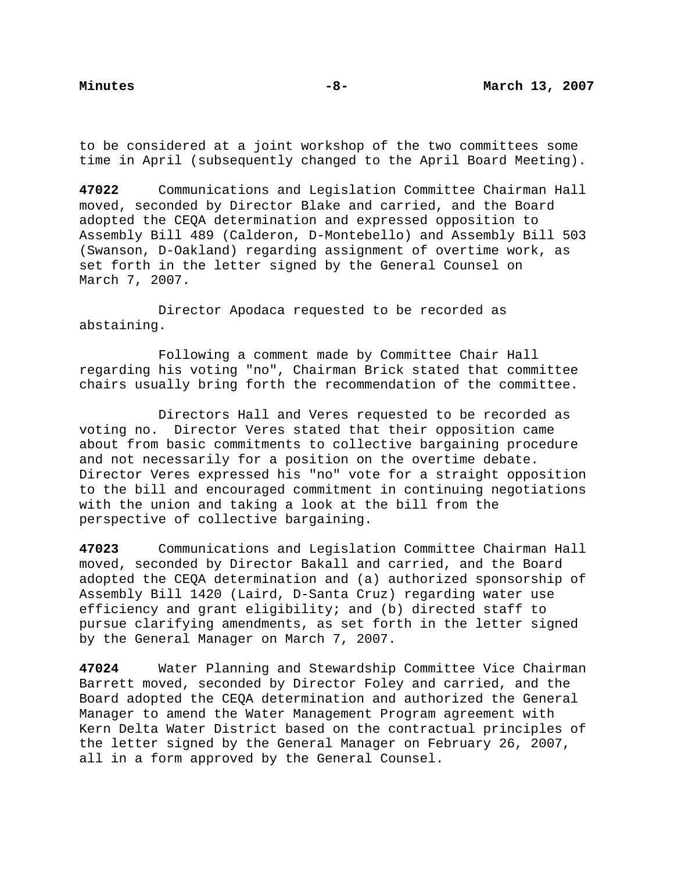to be considered at a joint workshop of the two committees some time in April (subsequently changed to the April Board Meeting).

**47022** Communications and Legislation Committee Chairman Hall moved, seconded by Director Blake and carried, and the Board adopted the CEQA determination and expressed opposition to Assembly Bill 489 (Calderon, D-Montebello) and Assembly Bill 503 (Swanson, D-Oakland) regarding assignment of overtime work, as set forth in the letter signed by the General Counsel on March 7, 2007.

 Director Apodaca requested to be recorded as abstaining.

 Following a comment made by Committee Chair Hall regarding his voting "no", Chairman Brick stated that committee chairs usually bring forth the recommendation of the committee.

 Directors Hall and Veres requested to be recorded as voting no. Director Veres stated that their opposition came about from basic commitments to collective bargaining procedure and not necessarily for a position on the overtime debate. Director Veres expressed his "no" vote for a straight opposition to the bill and encouraged commitment in continuing negotiations with the union and taking a look at the bill from the perspective of collective bargaining.

**47023** Communications and Legislation Committee Chairman Hall moved, seconded by Director Bakall and carried, and the Board adopted the CEQA determination and (a) authorized sponsorship of Assembly Bill 1420 (Laird, D-Santa Cruz) regarding water use efficiency and grant eligibility; and (b) directed staff to pursue clarifying amendments, as set forth in the letter signed by the General Manager on March 7, 2007.

**47024** Water Planning and Stewardship Committee Vice Chairman Barrett moved, seconded by Director Foley and carried, and the Board adopted the CEQA determination and authorized the General Manager to amend the Water Management Program agreement with Kern Delta Water District based on the contractual principles of the letter signed by the General Manager on February 26, 2007, all in a form approved by the General Counsel.